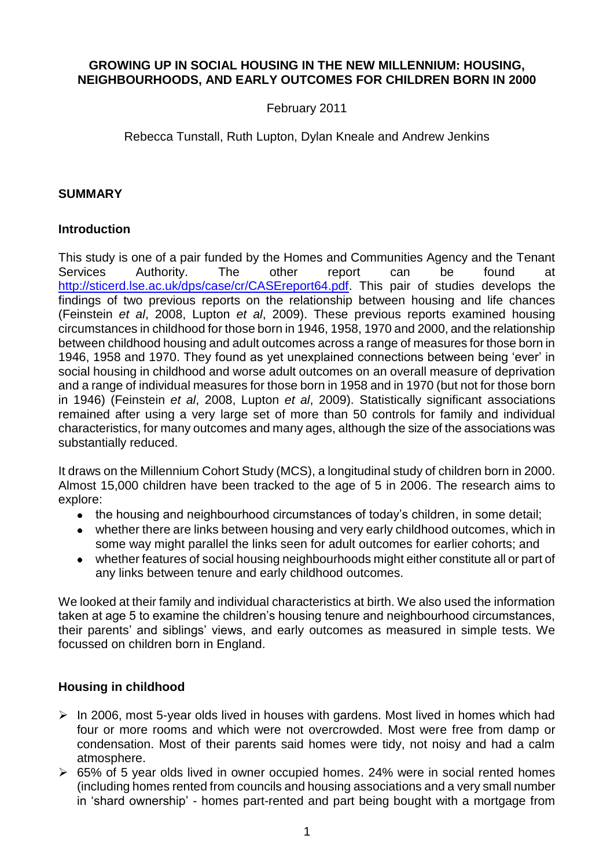### **GROWING UP IN SOCIAL HOUSING IN THE NEW MILLENNIUM: HOUSING, NEIGHBOURHOODS, AND EARLY OUTCOMES FOR CHILDREN BORN IN 2000**

### February 2011

### Rebecca Tunstall, Ruth Lupton, Dylan Kneale and Andrew Jenkins

#### **SUMMARY**

### **Introduction**

This study is one of a pair funded by the Homes and Communities Agency and the Tenant Services Authority. The other report can be found at [http://sticerd.lse.ac.uk/dps/case/cr/CASEreport64.pdf.](http://sticerd.lse.ac.uk/dps/case/cr/CASEreport64.pdf) This pair of studies develops the findings of two previous reports on the relationship between housing and life chances (Feinstein *et al*, 2008, Lupton *et al*, 2009). These previous reports examined housing circumstances in childhood for those born in 1946, 1958, 1970 and 2000, and the relationship between childhood housing and adult outcomes across a range of measures for those born in 1946, 1958 and 1970. They found as yet unexplained connections between being 'ever' in social housing in childhood and worse adult outcomes on an overall measure of deprivation and a range of individual measures for those born in 1958 and in 1970 (but not for those born in 1946) (Feinstein *et al*, 2008, Lupton *et al*, 2009). Statistically significant associations remained after using a very large set of more than 50 controls for family and individual characteristics, for many outcomes and many ages, although the size of the associations was substantially reduced.

It draws on the Millennium Cohort Study (MCS), a longitudinal study of children born in 2000. Almost 15,000 children have been tracked to the age of 5 in 2006. The research aims to explore:

- the housing and neighbourhood circumstances of today's children, in some detail;
- whether there are links between housing and very early childhood outcomes, which in some way might parallel the links seen for adult outcomes for earlier cohorts; and
- $\bullet$ whether features of social housing neighbourhoods might either constitute all or part of any links between tenure and early childhood outcomes.

We looked at their family and individual characteristics at birth. We also used the information taken at age 5 to examine the children's housing tenure and neighbourhood circumstances, their parents' and siblings' views, and early outcomes as measured in simple tests. We focussed on children born in England.

# **Housing in childhood**

- $\triangleright$  In 2006, most 5-year olds lived in houses with gardens. Most lived in homes which had four or more rooms and which were not overcrowded. Most were free from damp or condensation. Most of their parents said homes were tidy, not noisy and had a calm atmosphere.
- 65% of 5 year olds lived in owner occupied homes. 24% were in social rented homes (including homes rented from councils and housing associations and a very small number in 'shard ownership' - homes part-rented and part being bought with a mortgage from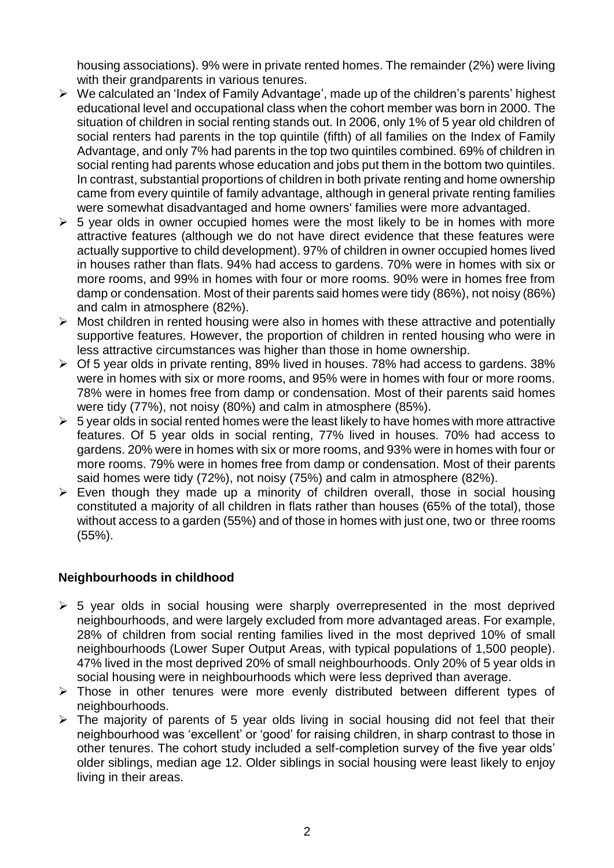housing associations). 9% were in private rented homes. The remainder (2%) were living with their grandparents in various tenures.

- $\triangleright$  We calculated an 'Index of Family Advantage', made up of the children's parents' highest educational level and occupational class when the cohort member was born in 2000. The situation of children in social renting stands out. In 2006, only 1% of 5 year old children of social renters had parents in the top quintile (fifth) of all families on the Index of Family Advantage, and only 7% had parents in the top two quintiles combined. 69% of children in social renting had parents whose education and jobs put them in the bottom two quintiles. In contrast, substantial proportions of children in both private renting and home ownership came from every quintile of family advantage, although in general private renting families were somewhat disadvantaged and home owners' families were more advantaged.
- $\geq 5$  vear olds in owner occupied homes were the most likely to be in homes with more attractive features (although we do not have direct evidence that these features were actually supportive to child development). 97% of children in owner occupied homes lived in houses rather than flats. 94% had access to gardens. 70% were in homes with six or more rooms, and 99% in homes with four or more rooms. 90% were in homes free from damp or condensation. Most of their parents said homes were tidy (86%), not noisy (86%) and calm in atmosphere (82%).
- $\triangleright$  Most children in rented housing were also in homes with these attractive and potentially supportive features. However, the proportion of children in rented housing who were in less attractive circumstances was higher than those in home ownership.
- $\triangleright$  Of 5 year olds in private renting, 89% lived in houses. 78% had access to gardens. 38% were in homes with six or more rooms, and 95% were in homes with four or more rooms. 78% were in homes free from damp or condensation. Most of their parents said homes were tidy (77%), not noisy (80%) and calm in atmosphere (85%).
- $\geq 5$  year olds in social rented homes were the least likely to have homes with more attractive features. Of 5 year olds in social renting, 77% lived in houses. 70% had access to gardens. 20% were in homes with six or more rooms, and 93% were in homes with four or more rooms. 79% were in homes free from damp or condensation. Most of their parents said homes were tidy (72%), not noisy (75%) and calm in atmosphere (82%).
- $\triangleright$  Even though they made up a minority of children overall, those in social housing constituted a majority of all children in flats rather than houses (65% of the total), those without access to a garden (55%) and of those in homes with just one, two or three rooms (55%).

# **Neighbourhoods in childhood**

- $\geq 5$  year olds in social housing were sharply overrepresented in the most deprived neighbourhoods, and were largely excluded from more advantaged areas. For example, 28% of children from social renting families lived in the most deprived 10% of small neighbourhoods (Lower Super Output Areas, with typical populations of 1,500 people). 47% lived in the most deprived 20% of small neighbourhoods. Only 20% of 5 year olds in social housing were in neighbourhoods which were less deprived than average.
- > Those in other tenures were more evenly distributed between different types of neighbourhoods.
- $\triangleright$  The majority of parents of 5 year olds living in social housing did not feel that their neighbourhood was 'excellent' or 'good' for raising children, in sharp contrast to those in other tenures. The cohort study included a self-completion survey of the five year olds' older siblings, median age 12. Older siblings in social housing were least likely to enjoy living in their areas.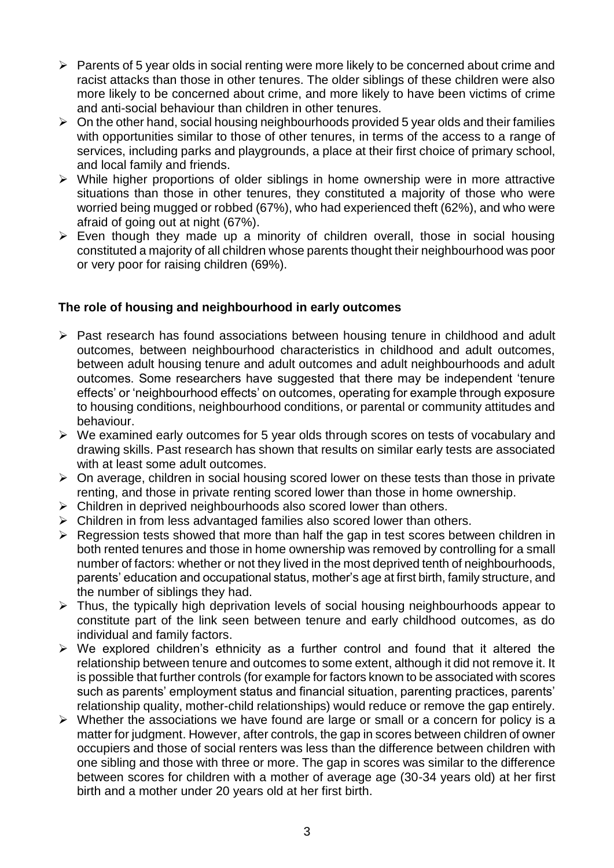- $\triangleright$  Parents of 5 year olds in social renting were more likely to be concerned about crime and racist attacks than those in other tenures. The older siblings of these children were also more likely to be concerned about crime, and more likely to have been victims of crime and anti-social behaviour than children in other tenures.
- $\triangleright$  On the other hand, social housing neighbourhoods provided 5 year olds and their families with opportunities similar to those of other tenures, in terms of the access to a range of services, including parks and playgrounds, a place at their first choice of primary school, and local family and friends.
- While higher proportions of older siblings in home ownership were in more attractive situations than those in other tenures, they constituted a majority of those who were worried being mugged or robbed (67%), who had experienced theft (62%), and who were afraid of going out at night (67%).
- $\triangleright$  Even though they made up a minority of children overall, those in social housing constituted a majority of all children whose parents thought their neighbourhood was poor or very poor for raising children (69%).

# **The role of housing and neighbourhood in early outcomes**

- $\triangleright$  Past research has found associations between housing tenure in childhood and adult outcomes, between neighbourhood characteristics in childhood and adult outcomes, between adult housing tenure and adult outcomes and adult neighbourhoods and adult outcomes. Some researchers have suggested that there may be independent 'tenure effects' or 'neighbourhood effects' on outcomes, operating for example through exposure to housing conditions, neighbourhood conditions, or parental or community attitudes and behaviour.
- $\triangleright$  We examined early outcomes for 5 year olds through scores on tests of vocabulary and drawing skills. Past research has shown that results on similar early tests are associated with at least some adult outcomes.
- $\triangleright$  On average, children in social housing scored lower on these tests than those in private renting, and those in private renting scored lower than those in home ownership.
- $\triangleright$  Children in deprived neighbourhoods also scored lower than others.
- $\triangleright$  Children in from less advantaged families also scored lower than others.
- $\triangleright$  Regression tests showed that more than half the gap in test scores between children in both rented tenures and those in home ownership was removed by controlling for a small number of factors: whether or not they lived in the most deprived tenth of neighbourhoods, parents' education and occupational status, mother's age at first birth, family structure, and the number of siblings they had.
- $\triangleright$  Thus, the typically high deprivation levels of social housing neighbourhoods appear to constitute part of the link seen between tenure and early childhood outcomes, as do individual and family factors.
- $\triangleright$  We explored children's ethnicity as a further control and found that it altered the relationship between tenure and outcomes to some extent, although it did not remove it. It is possible that further controls (for example for factors known to be associated with scores such as parents' employment status and financial situation, parenting practices, parents' relationship quality, mother-child relationships) would reduce or remove the gap entirely.
- $\triangleright$  Whether the associations we have found are large or small or a concern for policy is a matter for judgment. However, after controls, the gap in scores between children of owner occupiers and those of social renters was less than the difference between children with one sibling and those with three or more. The gap in scores was similar to the difference between scores for children with a mother of average age (30-34 years old) at her first birth and a mother under 20 years old at her first birth.